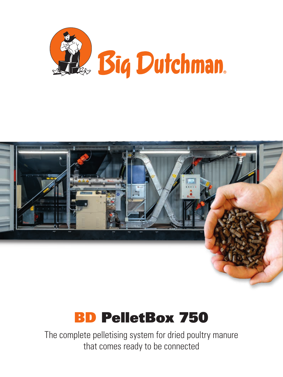





The complete pelletising system for dried poultry manure that comes ready to be connected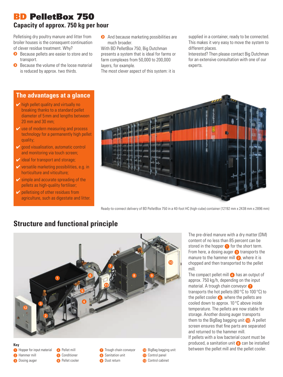#### BD PelletBox 750 **Capacity of approx. 750 kg per hour**

Pelletising dry poultry manure and litter from broiler houses is the consequent continuation of clever residue treatment. Why?

- Because pellets are easier to store and to transport.
- $\bullet$ Because the volume of the loose material is reduced by approx. two thirds.

**The advantages at a glance**

**And because marketing possibilities are** much broader.

With BD PelletBox 750, Big Dutchman presents a system that is ideal for farms or farm complexes from 50,000 to 200,000 layers, for example.

The most clever aspect of this system: it is

supplied in a container, ready to be connected. This makes it very easy to move the system to different places.

Interested? Then please contact Big Dutchman for an extensive consultation with one of our experts.



- $\vee$  use of modern measuring and process technology for a permanently high pellet quality;
- $\vee$  good visualisation, automatic control and monitoring via touch screen;
- $\vee$  ideal for transport and storage:
- $\vee$  versatile marketing possibilities, e.g. in horticulture and viticulture;
- $\vee$  simple and accurate spreading of the pellets as high-quality fertiliser;
- $\vee$  pelletising of other residues from agriculture, such as digestate and litter.



Ready-to-connect delivery of BD PelletBox 750 in a 40-foot HC (high-cube) container (12192 mm x 2438 mm x 2896 mm)

## **Structure and functional principle**



The pre-dried manure with a dry matter (DM) content of no less than 85 percent can be stored in the hopper  $\bullet$  for the short term. From here, a dosing auger  $\bullet$  transports the manure to the hammer mill  $\bullet$ , where it is chopped and then transported to the pellet mill.

The compact pellet mill  $\bullet$  has an output of approx. 750 kg/h, depending on the input material. A trough chain conveyor transports the hot pellets (80 °C to 100 °C) to the pellet cooler  $\bigcirc$ , where the pellets are cooled down to approx. 10 °C above inside temperature. The pellets are now stable for storage. Another dosing auger transports them to the BigBag bagging unit  $\Box$ . A pellet screen ensures that fine parts are separated and returned to the hammer mill. If pellets with a low bacterial count must be

produced, a sanitation unit  $\bullet$  can be installed between the pellet mill and the pellet cooler.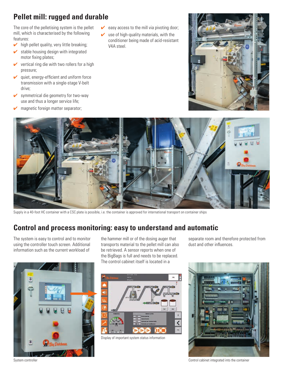# **Pellet mill: rugged and durable**

The core of the pelletising system is the pellet mill, which is characterised by the following features:

- $\triangleright$  high pellet quality, very little breaking;
- $\triangleright$  stable housing design with integrated motor fixing plates;
- $\vee$  vertical ring die with two rollers for a high pressure;
- $\vee$  quiet, energy-efficient and uniform force transmission with a single-stage V-belt drive;
- $\triangleright$  symmetrical die geometry for two-way use and thus a longer service life;
- $\triangleright$  magnetic foreign matter separator;
- $\triangleright$  easy access to the mill via pivoting door:
- use of high-quality materials, with the conditioner being made of acid-resistant V4A steel.





Supply in a 40-foot HC container with a CSC plate is possible, i.e. the container is approved for international transport on container ships

### **Control and process monitoring: easy to understand and automatic**

The system is easy to control and to monitor using the controller touch screen. Additional information such as the current workload of



the hammer mill or of the dosing auger that transports material to the pellet mill can also be retrieved. A sensor reports when one of the BigBags is full and needs to be replaced. The control cabinet itself is located in a



Display of important system status information

separate room and therefore protected from dust and other influences.



System controller container controller container container container container container container container container container container container container container container container container container container con